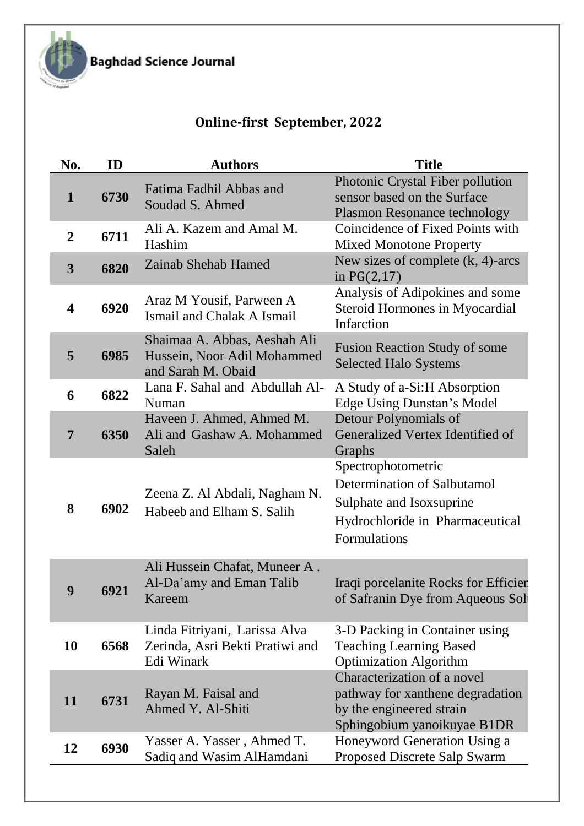

Baghdad Science Journal

## **Online-first September, 2022**

| No.                     | ID   | <b>Authors</b>                                                                    | <b>Title</b>                                                                                                                      |
|-------------------------|------|-----------------------------------------------------------------------------------|-----------------------------------------------------------------------------------------------------------------------------------|
| $\mathbf{1}$            | 6730 | Fatima Fadhil Abbas and<br>Soudad S. Ahmed                                        | Photonic Crystal Fiber pollution<br>sensor based on the Surface<br><b>Plasmon Resonance technology</b>                            |
| $\overline{2}$          | 6711 | Ali A. Kazem and Amal M.<br>Hashim                                                | Coincidence of Fixed Points with<br><b>Mixed Monotone Property</b>                                                                |
| $\overline{\mathbf{3}}$ | 6820 | Zainab Shehab Hamed                                                               | New sizes of complete $(k, 4)$ -arcs<br>in $PG(2,17)$                                                                             |
| $\overline{\mathbf{4}}$ | 6920 | Araz M Yousif, Parween A<br>Ismail and Chalak A Ismail                            | Analysis of Adipokines and some<br><b>Steroid Hormones in Myocardial</b><br>Infarction                                            |
| 5                       | 6985 | Shaimaa A. Abbas, Aeshah Ali<br>Hussein, Noor Adil Mohammed<br>and Sarah M. Obaid | <b>Fusion Reaction Study of some</b><br><b>Selected Halo Systems</b>                                                              |
| 6                       | 6822 | Lana F. Sahal and Abdullah Al-<br>Numan                                           | A Study of a-Si:H Absorption<br><b>Edge Using Dunstan's Model</b>                                                                 |
| $\overline{7}$          | 6350 | Haveen J. Ahmed, Ahmed M.<br>Ali and Gashaw A. Mohammed<br>Saleh                  | Detour Polynomials of<br>Generalized Vertex Identified of<br>Graphs                                                               |
| 8                       | 6902 | Zeena Z. Al Abdali, Nagham N.<br>Habeeb and Elham S. Salih                        | Spectrophotometric<br>Determination of Salbutamol<br>Sulphate and Isox suprine<br>Hydrochloride in Pharmaceutical<br>Formulations |
| 9                       | 6921 | Ali Hussein Chafat, Muneer A.<br>Al-Da'amy and Eman Talib<br>Kareem               | Iraqi porcelanite Rocks for Efficien<br>of Safranin Dye from Aqueous Soli                                                         |
| 10                      | 6568 | Linda Fitriyani, Larissa Alva<br>Zerinda, Asri Bekti Pratiwi and<br>Edi Winark    | 3-D Packing in Container using<br><b>Teaching Learning Based</b><br><b>Optimization Algorithm</b><br>Characterization of a novel  |
| 11                      | 6731 | Rayan M. Faisal and<br>Ahmed Y. Al-Shiti                                          | pathway for xanthene degradation<br>by the engineered strain<br>Sphingobium yanoikuyae B1DR                                       |
| 12                      | 6930 | Yasser A. Yasser, Ahmed T.<br>Sadiq and Wasim AlHamdani                           | Honeyword Generation Using a<br>Proposed Discrete Salp Swarm                                                                      |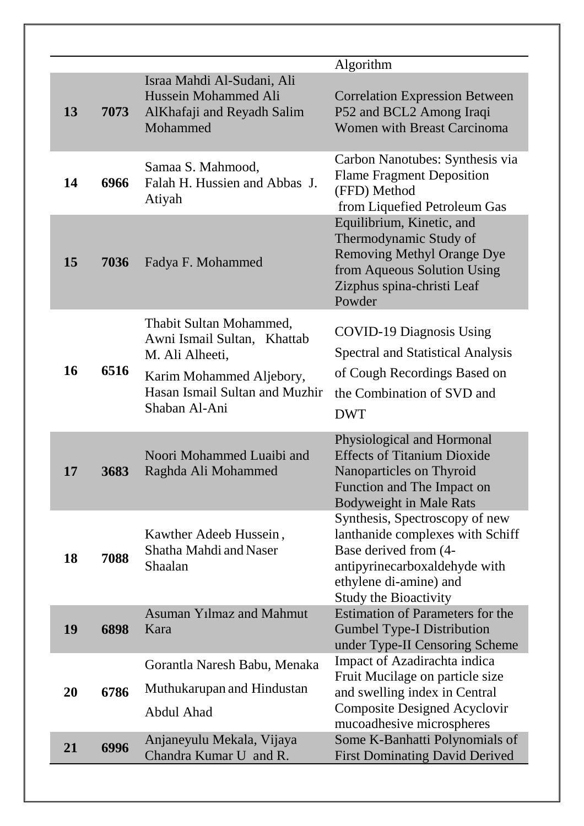| 13 | 7073 | Israa Mahdi Al-Sudani, Ali<br>Hussein Mohammed Ali<br>AlKhafaji and Reyadh Salim<br>Mohammed                                                             | Algorithm<br><b>Correlation Expression Between</b><br>P52 and BCL2 Among Iraqi<br><b>Women with Breast Carcinoma</b>                                                                   |
|----|------|----------------------------------------------------------------------------------------------------------------------------------------------------------|----------------------------------------------------------------------------------------------------------------------------------------------------------------------------------------|
| 14 | 6966 | Samaa S. Mahmood,<br>Falah H. Hussien and Abbas J.<br>Atiyah                                                                                             | Carbon Nanotubes: Synthesis via<br><b>Flame Fragment Deposition</b><br>(FFD) Method<br>from Liquefied Petroleum Gas                                                                    |
| 15 | 7036 | Fadya F. Mohammed                                                                                                                                        | Equilibrium, Kinetic, and<br>Thermodynamic Study of<br><b>Removing Methyl Orange Dye</b><br>from Aqueous Solution Using<br>Zizphus spina-christi Leaf<br>Powder                        |
| 16 | 6516 | Thabit Sultan Mohammed,<br>Awni Ismail Sultan, Khattab<br>M. Ali Alheeti,<br>Karim Mohammed Aljebory,<br>Hasan Ismail Sultan and Muzhir<br>Shaban Al-Ani | <b>COVID-19 Diagnosis Using</b><br><b>Spectral and Statistical Analysis</b><br>of Cough Recordings Based on<br>the Combination of SVD and<br><b>DWT</b>                                |
| 17 | 3683 | Noori Mohammed Luaibi and<br>Raghda Ali Mohammed                                                                                                         | Physiological and Hormonal<br><b>Effects of Titanium Dioxide</b><br>Nanoparticles on Thyroid<br>Function and The Impact on<br><b>Bodyweight in Male Rats</b>                           |
| 18 | 7088 | Kawther Adeeb Hussein,<br>Shatha Mahdi and Naser<br>Shaalan                                                                                              | Synthesis, Spectroscopy of new<br>lanthanide complexes with Schiff<br>Base derived from (4-<br>antipyrinecarboxaldehyde with<br>ethylene di-amine) and<br><b>Study the Bioactivity</b> |
| 19 | 6898 | <b>Asuman Yilmaz and Mahmut</b><br>Kara                                                                                                                  | <b>Estimation of Parameters for the</b><br><b>Gumbel Type-I Distribution</b><br>under Type-II Censoring Scheme                                                                         |
| 20 | 6786 | Gorantla Naresh Babu, Menaka<br>Muthukarupan and Hindustan<br>Abdul Ahad                                                                                 | Impact of Azadirachta indica<br>Fruit Mucilage on particle size<br>and swelling index in Central<br><b>Composite Designed Acyclovir</b><br>mucoadhesive microspheres                   |
| 21 | 6996 | Anjaneyulu Mekala, Vijaya<br>Chandra Kumar U and R.                                                                                                      | Some K-Banhatti Polynomials of<br><b>First Dominating David Derived</b>                                                                                                                |